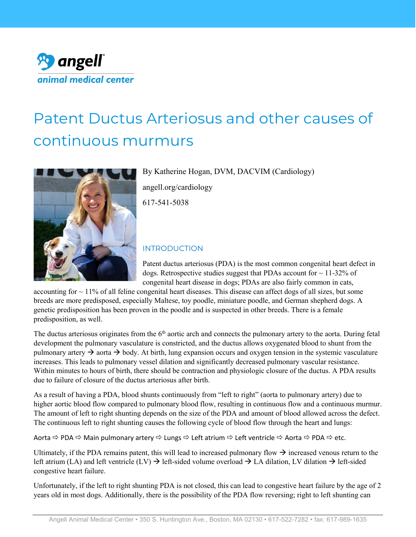

# Patent Ductus Arteriosus and other causes of continuous murmurs



By Katherine Hogan, DVM, DACVIM (Cardiology)

angell.org/cardiology

617-541-5038

### INTRODUCTION

Patent ductus arteriosus (PDA) is the most common congenital heart defect in dogs. Retrospective studies suggest that PDAs account for  $\sim$  11-32% of congenital heart disease in dogs; PDAs are also fairly common in cats,

accounting for  $\sim$  11% of all feline congenital heart diseases. This disease can affect dogs of all sizes, but some breeds are more predisposed, especially Maltese, toy poodle, miniature poodle, and German shepherd dogs. A genetic predisposition has been proven in the poodle and is suspected in other breeds. There is a female predisposition, as well.

The ductus arteriosus originates from the  $6<sup>th</sup>$  aortic arch and connects the pulmonary artery to the aorta. During fetal development the pulmonary vasculature is constricted, and the ductus allows oxygenated blood to shunt from the pulmonary artery  $\rightarrow$  aorta  $\rightarrow$  body. At birth, lung expansion occurs and oxygen tension in the systemic vasculature increases. This leads to pulmonary vessel dilation and significantly decreased pulmonary vascular resistance. Within minutes to hours of birth, there should be contraction and physiologic closure of the ductus. A PDA results due to failure of closure of the ductus arteriosus after birth.

As a result of having a PDA, blood shunts continuously from "left to right" (aorta to pulmonary artery) due to higher aortic blood flow compared to pulmonary blood flow, resulting in continuous flow and a continuous murmur. The amount of left to right shunting depends on the size of the PDA and amount of blood allowed across the defect. The continuous left to right shunting causes the following cycle of blood flow through the heart and lungs:

Aorta  $\Rightarrow$  PDA  $\Rightarrow$  Main pulmonary artery  $\Rightarrow$  Lungs  $\Rightarrow$  Left atrium  $\Rightarrow$  Left ventricle  $\Rightarrow$  Aorta  $\Rightarrow$  PDA  $\Rightarrow$  etc.

Ultimately, if the PDA remains patent, this will lead to increased pulmonary flow  $\rightarrow$  increased venous return to the left atrium (LA) and left ventricle (LV)  $\rightarrow$  left-sided volume overload  $\rightarrow$  LA dilation, LV dilation  $\rightarrow$  left-sided congestive heart failure.

Unfortunately, if the left to right shunting PDA is not closed, this can lead to congestive heart failure by the age of 2 years old in most dogs. Additionally, there is the possibility of the PDA flow reversing; right to left shunting can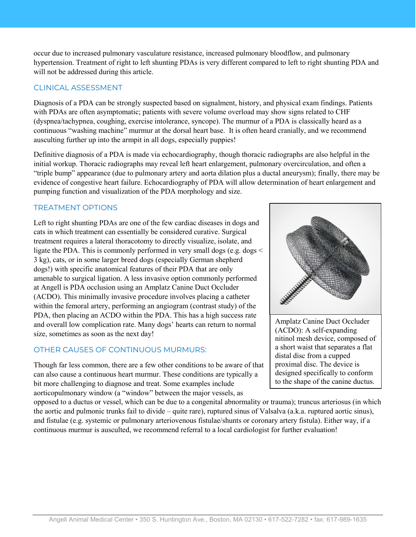occur due to increased pulmonary vasculature resistance, increased pulmonary bloodflow, and pulmonary hypertension. Treatment of right to left shunting PDAs is very different compared to left to right shunting PDA and will not be addressed during this article.

## CLINICAL ASSESSMENT

Diagnosis of a PDA can be strongly suspected based on signalment, history, and physical exam findings. Patients with PDAs are often asymptomatic; patients with severe volume overload may show signs related to CHF (dyspnea/tachypnea, coughing, exercise intolerance, syncope). The murmur of a PDA is classically heard as a continuous "washing machine" murmur at the dorsal heart base. It is often heard cranially, and we recommend ausculting further up into the armpit in all dogs, especially puppies!

Definitive diagnosis of a PDA is made via echocardiography, though thoracic radiographs are also helpful in the initial workup. Thoracic radiographs may reveal left heart enlargement, pulmonary overcirculation, and often a "triple bump" appearance (due to pulmonary artery and aorta dilation plus a ductal aneurysm); finally, there may be evidence of congestive heart failure. Echocardiography of PDA will allow determination of heart enlargement and pumping function and visualization of the PDA morphology and size.

### TREATMENT OPTIONS

Left to right shunting PDAs are one of the few cardiac diseases in dogs and cats in which treatment can essentially be considered curative. Surgical treatment requires a lateral thoracotomy to directly visualize, isolate, and ligate the PDA. This is commonly performed in very small dogs (e.g. dogs  $\leq$ 3 kg), cats, or in some larger breed dogs (especially German shepherd dogs!) with specific anatomical features of their PDA that are only amenable to surgical ligation. A less invasive option commonly performed at Angell is PDA occlusion using an Amplatz Canine Duct Occluder (ACDO). This minimally invasive procedure involves placing a catheter within the femoral artery, performing an angiogram (contrast study) of the PDA, then placing an ACDO within the PDA. This has a high success rate and overall low complication rate. Many dogs' hearts can return to normal size, sometimes as soon as the next day!

### OTHER CAUSES OF CONTINUOUS MURMURS:

Though far less common, there are a few other conditions to be aware of that can also cause a continuous heart murmur. These conditions are typically a bit more challenging to diagnose and treat. Some examples include aorticopulmonary window (a "window" between the major vessels, as

opposed to a ductus or vessel, which can be due to a congenital abnormality or trauma); truncus arteriosus (in which the aortic and pulmonic trunks fail to divide – quite rare), ruptured sinus of Valsalva (a.k.a. ruptured aortic sinus), and fistulae (e.g. systemic or pulmonary arteriovenous fistulae/shunts or coronary artery fistula). Either way, if a continuous murmur is ausculted, we recommend referral to a local cardiologist for further evaluation!



Amplatz Canine Duct Occluder (ACDO): A self-expanding nitinol mesh device, composed of a short waist that separates a flat distal disc from a cupped proximal disc. The device is designed specifically to conform to the shape of the canine ductus.